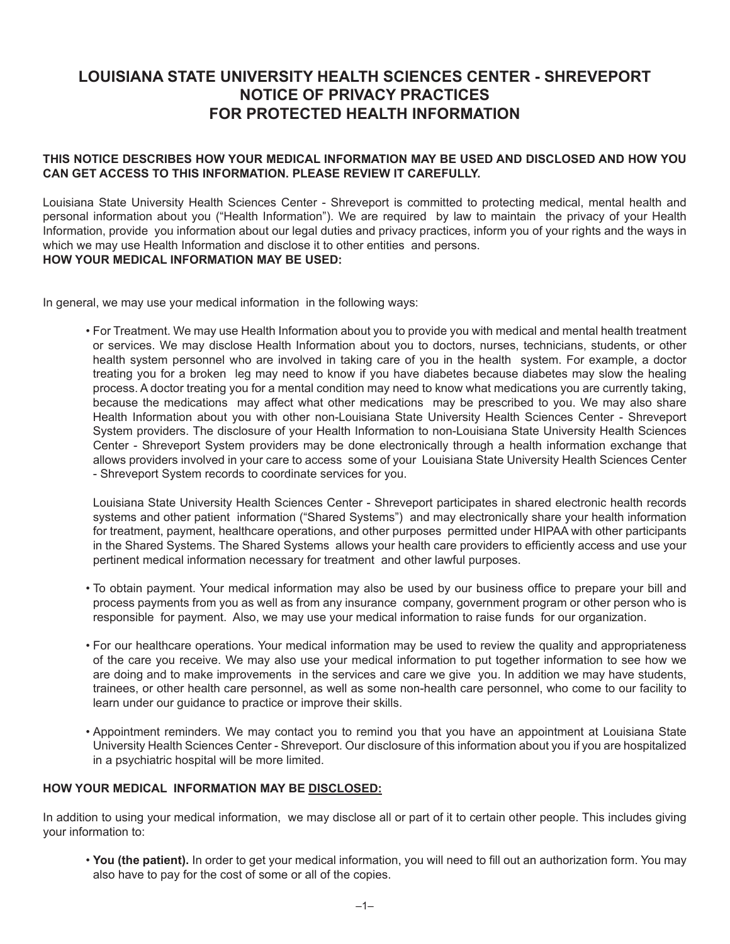# **Louisiana state university health sciences center - sHREVEPORT NOTICE OF PRIVACY PRACTICES FOR PROTECTED HEALTH iNFORMATION**

#### **THIS NOTICE DESCRIBES HOW YOUR MEDICAL INFORMATION MAY BE USED AND DISCLOSED AND HOW YOU CAN GET ACCESS TO THIS INFORMATION. PLEASE REVIEW IT CAREFULLY.**

Louisiana State University Health Sciences Center - Shreveport is committed to protecting medical, mental health and personal information about you ("Health Information"). We are required by law to maintain the privacy of your Health Information, provide you information about our legal duties and privacy practices, inform you of your rights and the ways in which we may use Health Information and disclose it to other entities and persons. **HOW YOUR MEDICAL INFORMATION MAY BE USED:**

In general, we may use your medical information in the following ways:

• For Treatment. We may use Health Information about you to provide you with medical and mental health treatment or services. We may disclose Health Information about you to doctors, nurses, technicians, students, or other health system personnel who are involved in taking care of you in the health system. For example, a doctor treating you for a broken leg may need to know if you have diabetes because diabetes may slow the healing process. A doctor treating you for a mental condition may need to know what medications you are currently taking, because the medications may affect what other medications may be prescribed to you. We may also share Health Information about you with other non-Louisiana State University Health Sciences Center - Shreveport System providers. The disclosure of your Health Information to non-Louisiana State University Health Sciences Center - Shreveport System providers may be done electronically through a health information exchange that allows providers involved in your care to access some of your Louisiana State University Health Sciences Center - Shreveport System records to coordinate services for you.

Louisiana State University Health Sciences Center - Shreveport participates in shared electronic health records systems and other patient information ("Shared Systems") and may electronically share your health information for treatment, payment, healthcare operations, and other purposes permitted under HIPAA with other participants in the Shared Systems. The Shared Systems allows your health care providers to efficiently access and use your pertinent medical information necessary for treatment and other lawful purposes.

- • To obtain payment. Your medical information may also be used by our business office to prepare your bill and process payments from you as well as from any insurance company, government program or other person who is responsible for payment. Also, we may use your medical information to raise funds for our organization.
- • For our healthcare operations. Your medical information may be used to review the quality and appropriateness of the care you receive. We may also use your medical information to put together information to see how we are doing and to make improvements in the services and care we give you. In addition we may have students, trainees, or other health care personnel, as well as some non-health care personnel, who come to our facility to learn under our guidance to practice or improve their skills.
- • Appointment reminders. We may contact you to remind you that you have an appointment at Louisiana State University Health Sciences Center - Shreveport. Our disclosure of this information about you if you are hospitalized in a psychiatric hospital will be more limited.

#### **HOW YOUR MEDICAL INFORMATION MAY BE DISCLOSED:**

In addition to using your medical information, we may disclose all or part of it to certain other people. This includes giving your information to:

• **You (the patient).** In order to get your medical information, you will need to fill out an authorization form. You may also have to pay for the cost of some or all of the copies.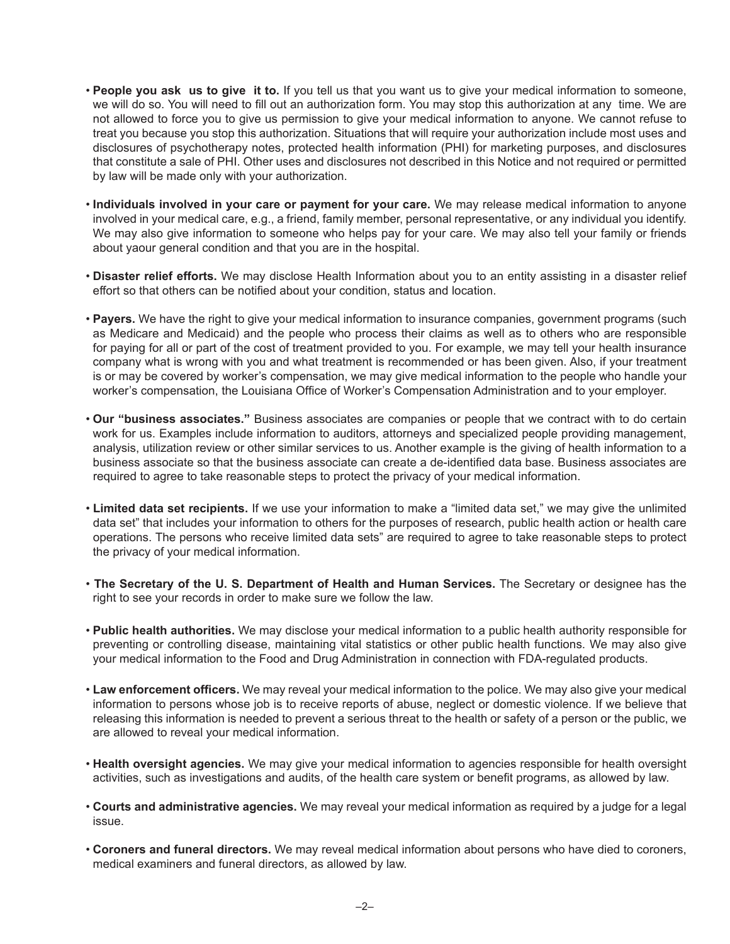- People you ask us to give it to. If you tell us that you want us to give your medical information to someone, we will do so. You will need to fill out an authorization form. You may stop this authorization at any time. We are not allowed to force you to give us permission to give your medical information to anyone. We cannot refuse to treat you because you stop this authorization. Situations that will require your authorization include most uses and disclosures of psychotherapy notes, protected health information (PHI) for marketing purposes, and disclosures that constitute a sale of PHI. Other uses and disclosures not described in this Notice and not required or permitted by law will be made only with your authorization.
- • **Individuals involved in your care or payment for your care.** We may release medical information to anyone involved in your medical care, e.g., a friend, family member, personal representative, or any individual you identify. We may also give information to someone who helps pay for your care. We may also tell your family or friends about yaour general condition and that you are in the hospital.
- • **Disaster relief efforts.** We may disclose Health Information about you to an entity assisting in a disaster relief effort so that others can be notified about your condition, status and location.
- Payers. We have the right to give your medical information to insurance companies, government programs (such as Medicare and Medicaid) and the people who process their claims as well as to others who are responsible for paying for all or part of the cost of treatment provided to you. For example, we may tell your health insurance company what is wrong with you and what treatment is recommended or has been given. Also, if your treatment is or may be covered by worker's compensation, we may give medical information to the people who handle your worker's compensation, the Louisiana Office of Worker's Compensation Administration and to your employer.
- • **Our "business associates."** Business associates are companies or people that we contract with to do certain work for us. Examples include information to auditors, attorneys and specialized people providing management, analysis, utilization review or other similar services to us. Another example is the giving of health information to a business associate so that the business associate can create a de-identified data base. Business associates are required to agree to take reasonable steps to protect the privacy of your medical information.
- • **Limited data set recipients.** If we use your information to make a "limited data set," we may give the unlimited data set" that includes your information to others for the purposes of research, public health action or health care operations. The persons who receive limited data sets" are required to agree to take reasonable steps to protect the privacy of your medical information.
- **The Secretary of the U. S. Department of Health and Human Services.** The Secretary or designee has the right to see your records in order to make sure we follow the law.
- **Public health authorities.** We may disclose your medical information to a public health authority responsible for preventing or controlling disease, maintaining vital statistics or other public health functions. We may also give your medical information to the Food and Drug Administration in connection with FDA-regulated products.
- • **Law enforcement officers.** We may reveal your medical information to the police. We may also give your medical information to persons whose job is to receive reports of abuse, neglect or domestic violence. If we believe that releasing this information is needed to prevent a serious threat to the health or safety of a person or the public, we are allowed to reveal your medical information.
- • **Health oversight agencies.** We may give your medical information to agencies responsible for health oversight activities, such as investigations and audits, of the health care system or benefit programs, as allowed by law.
- • **Courts and administrative agencies.** We may reveal your medical information as required by a judge for a legal issue.
- • **Coroners and funeral directors.** We may reveal medical information about persons who have died to coroners, medical examiners and funeral directors, as allowed by law.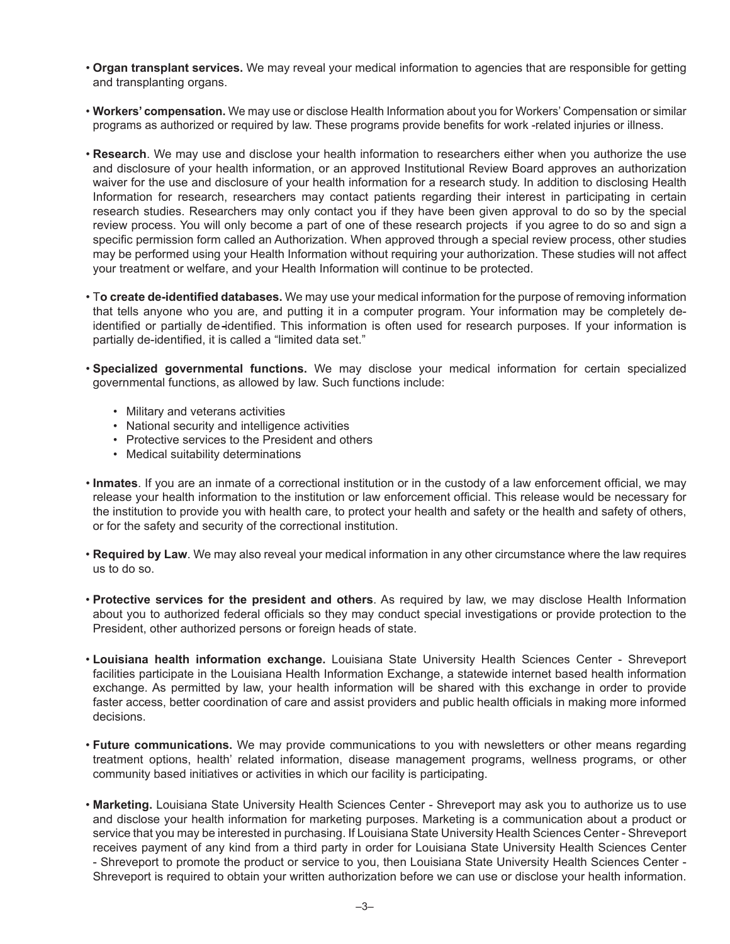- • **Organ transplant services.** We may reveal your medical information to agencies that are responsible for getting and transplanting organs.
- • **Workers' compensation.** We may use or disclose Health Information about you for Workers' Compensation or similar programs as authorized or required by law. These programs provide benefits for work -related injuries or illness.
- • **Research**. We may use and disclose your health information to researchers either when you authorize the use and disclosure of your health information, or an approved Institutional Review Board approves an authorization waiver for the use and disclosure of your health information for a research study. In addition to disclosing Health Information for research, researchers may contact patients regarding their interest in participating in certain research studies. Researchers may only contact you if they have been given approval to do so by the special review process. You will only become a part of one of these research projects if you agree to do so and sign a specific permission form called an Authorization. When approved through a special review process, other studies may be performed using your Health Information without requiring your authorization. These studies will not affect your treatment or welfare, and your Health Information will continue to be protected.
- • T**o create de-identified databases.** We may use your medical information for the purpose of removing information that tells anyone who you are, and putting it in a computer program. Your information may be completely deidentified or partially de-identified. This information is often used for research purposes. If your information is partially de-identified, it is called a "limited data set."
- • **Specialized governmental functions.** We may disclose your medical information for certain specialized governmental functions, as allowed by law. Such functions include:
	- • Military and veterans activities
	- • National security and intelligence activities
	- Protective services to the President and others
	- Medical suitability determinations
- • **Inmates**. If you are an inmate of a correctional institution or in the custody of a law enforcement official, we may release your health information to the institution or law enforcement official. This release would be necessary for the institution to provide you with health care, to protect your health and safety or the health and safety of others, or for the safety and security of the correctional institution.
- • **Required by Law**. We may also reveal your medical information in any other circumstance where the law requires us to do so.
- • **Protective services for the president and others**. As required by law, we may disclose Health Information about you to authorized federal officials so they may conduct special investigations or provide protection to the President, other authorized persons or foreign heads of state.
- **Louisiana health information exchange.** Louisiana State University Health Sciences Center Shreveport facilities participate in the Louisiana Health Information Exchange, a statewide internet based health information exchange. As permitted by law, your health information will be shared with this exchange in order to provide faster access, better coordination of care and assist providers and public health officials in making more informed decisions.
- • **Future communications.** We may provide communications to you with newsletters or other means regarding treatment options, health' related information, disease management programs, wellness programs, or other community based initiatives or activities in which our facility is participating.
- • **Marketing.** Louisiana State University Health Sciences Center Shreveport may ask you to authorize us to use and disclose your health information for marketing purposes. Marketing is a communication about a product or service that you may be interested in purchasing. If Louisiana State University Health Sciences Center - Shreveport receives payment of any kind from a third party in order for Louisiana State University Health Sciences Center - Shreveport to promote the product or service to you, then Louisiana State University Health Sciences Center - Shreveport is required to obtain your written authorization before we can use or disclose your health information.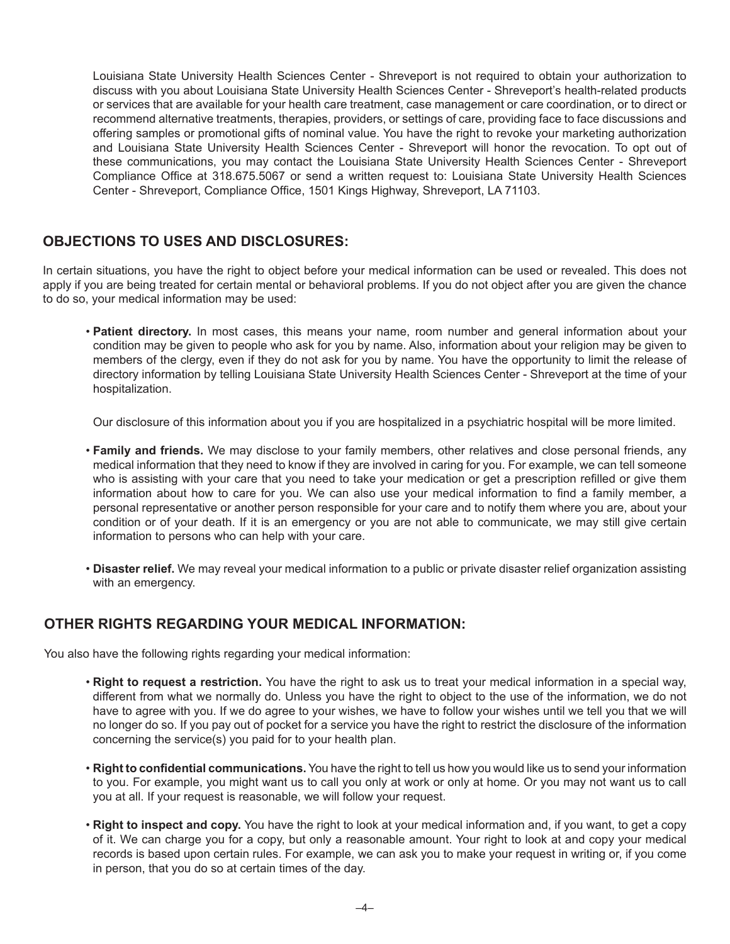Louisiana State University Health Sciences Center - Shreveport is not required to obtain your authorization to discuss with you about Louisiana State University Health Sciences Center - Shreveport's health-related products or services that are available for your health care treatment, case management or care coordination, or to direct or recommend alternative treatments, therapies, providers, or settings of care, providing face to face discussions and offering samples or promotional gifts of nominal value. You have the right to revoke your marketing authorization and Louisiana State University Health Sciences Center - Shreveport will honor the revocation. To opt out of these communications, you may contact the Louisiana State University Health Sciences Center - Shreveport Compliance Office at 318.675.5067 or send a written request to: Louisiana State University Health Sciences Center - Shreveport, Compliance Office, 1501 Kings Highway, Shreveport, LA 71103.

### **OBJECTIONS TO USES AND DISCLOSURES:**

In certain situations, you have the right to object before your medical information can be used or revealed. This does not apply if you are being treated for certain mental or behavioral problems. If you do not object after you are given the chance to do so, your medical information may be used:

• Patient directory. In most cases, this means your name, room number and general information about your condition may be given to people who ask for you by name. Also, information about your religion may be given to members of the clergy, even if they do not ask for you by name. You have the opportunity to limit the release of directory information by telling Louisiana State University Health Sciences Center - Shreveport at the time of your hospitalization.

Our disclosure of this information about you if you are hospitalized in a psychiatric hospital will be more limited.

- • **Family and friends.** We may disclose to your family members, other relatives and close personal friends, any medical information that they need to know if they are involved in caring for you. For example, we can tell someone who is assisting with your care that you need to take your medication or get a prescription refilled or give them information about how to care for you. We can also use your medical information to find a family member, a personal representative or another person responsible for your care and to notify them where you are, about your condition or of your death. If it is an emergency or you are not able to communicate, we may still give certain information to persons who can help with your care.
- • **Disaster relief.** We may reveal your medical information to a public or private disaster relief organization assisting with an emergency.

## **OTHER RIGHTS REGARDING YOUR MEDICAL INFORMATION:**

You also have the following rights regarding your medical information:

- • **Right to request a restriction.** You have the right to ask us to treat your medical information in a special way, different from what we normally do. Unless you have the right to object to the use of the information, we do not have to agree with you. If we do agree to your wishes, we have to follow your wishes until we tell you that we will no longer do so. If you pay out of pocket for a service you have the right to restrict the disclosure of the information concerning the service(s) you paid for to your health plan.
- • **Right to confidential communications.** You have the right to tell us how you would like us to send your information to you. For example, you might want us to call you only at work or only at home. Or you may not want us to call you at all. If your request is reasonable, we will follow your request.
- • **Right to inspect and copy.** You have the right to look at your medical information and, if you want, to get a copy of it. We can charge you for a copy, but only a reasonable amount. Your right to look at and copy your medical records is based upon certain rules. For example, we can ask you to make your request in writing or, if you come in person, that you do so at certain times of the day.